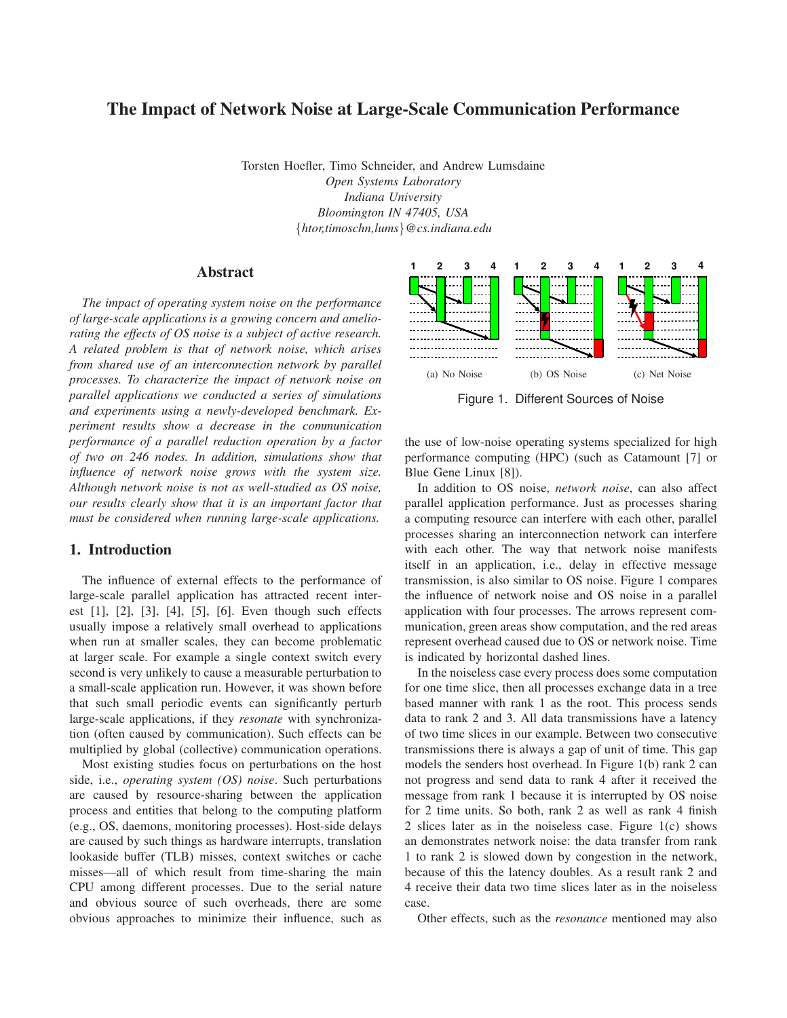# **The Impact of Network Noise at Large-Scale Communication Performance**

Torsten Hoefler, Timo Schneider, and Andrew Lumsdaine *Open Systems Laboratory Indiana University Bloomington IN 47405, USA* {*htor,timoschn,lums*}*@cs.indiana.edu*

### **Abstract**

*The impact of operating system noise on the performance of large-scale applications is a growing concern and ameliorating the effects of OS noise is a subject of active research. A related problem is that of network noise, which arises from shared use of an interconnection network by parallel processes. To characterize the impact of network noise on parallel applications we conducted a series of simulations and experiments using a newly-developed benchmark. Experiment results show a decrease in the communication performance of a parallel reduction operation by a factor of two on 246 nodes. In addition, simulations show that influence of network noise grows with the system size. Although network noise is not as well-studied as OS noise, our results clearly show that it is an important factor that must be considered when running large-scale applications.*

## **1. Introduction**

The influence of external effects to the performance of large-scale parallel application has attracted recent interest [1], [2], [3], [4], [5], [6]. Even though such effects usually impose a relatively small overhead to applications when run at smaller scales, they can become problematic at larger scale. For example a single context switch every second is very unlikely to cause a measurable perturbation to a small-scale application run. However, it was shown before that such small periodic events can significantly perturb large-scale applications, if they *resonate* with synchronization (often caused by communication). Such effects can be multiplied by global (collective) communication operations.

Most existing studies focus on perturbations on the host side, i.e., *operating system (OS) noise*. Such perturbations are caused by resource-sharing between the application process and entities that belong to the computing platform (e.g., OS, daemons, monitoring processes). Host-side delays are caused by such things as hardware interrupts, translation lookaside buffer (TLB) misses, context switches or cache misses—all of which result from time-sharing the main CPU among different processes. Due to the serial nature and obvious source of such overheads, there are some obvious approaches to minimize their influence, such as



Figure 1. Different Sources of Noise

the use of low-noise operating systems specialized for high performance computing (HPC) (such as Catamount [7] or Blue Gene Linux [8]).

In addition to OS noise, *network noise*, can also affect parallel application performance. Just as processes sharing a computing resource can interfere with each other, parallel processes sharing an interconnection network can interfere with each other. The way that network noise manifests itself in an application, i.e., delay in effective message transmission, is also similar to OS noise. Figure 1 compares the influence of network noise and OS noise in a parallel application with four processes. The arrows represent communication, green areas show computation, and the red areas represent overhead caused due to OS or network noise. Time is indicated by horizontal dashed lines.

In the noiseless case every process does some computation for one time slice, then all processes exchange data in a tree based manner with rank 1 as the root. This process sends data to rank 2 and 3. All data transmissions have a latency of two time slices in our example. Between two consecutive transmissions there is always a gap of unit of time. This gap models the senders host overhead. In Figure 1(b) rank 2 can not progress and send data to rank 4 after it received the message from rank 1 because it is interrupted by OS noise for 2 time units. So both, rank 2 as well as rank 4 finish 2 slices later as in the noiseless case. Figure 1(c) shows an demonstrates network noise: the data transfer from rank 1 to rank 2 is slowed down by congestion in the network, because of this the latency doubles. As a result rank 2 and 4 receive their data two time slices later as in the noiseless case.

Other effects, such as the *resonance* mentioned may also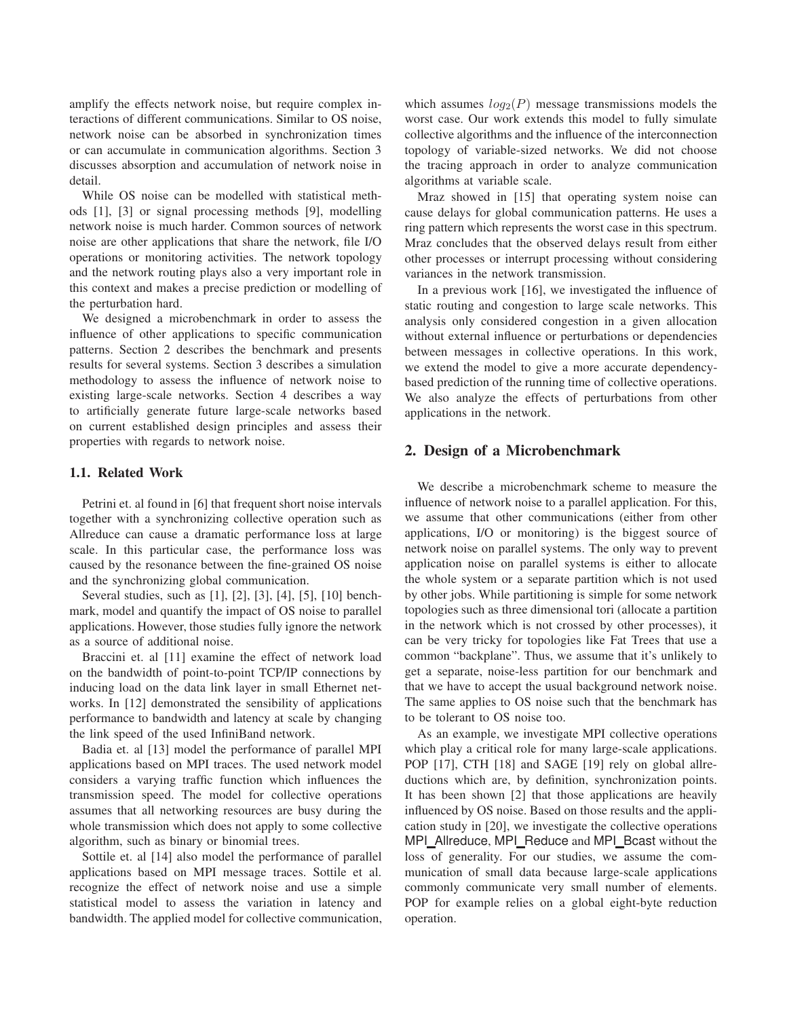amplify the effects network noise, but require complex interactions of different communications. Similar to OS noise, network noise can be absorbed in synchronization times or can accumulate in communication algorithms. Section 3 discusses absorption and accumulation of network noise in detail.

While OS noise can be modelled with statistical methods [1], [3] or signal processing methods [9], modelling network noise is much harder. Common sources of network noise are other applications that share the network, file I/O operations or monitoring activities. The network topology and the network routing plays also a very important role in this context and makes a precise prediction or modelling of the perturbation hard.

We designed a microbenchmark in order to assess the influence of other applications to specific communication patterns. Section 2 describes the benchmark and presents results for several systems. Section 3 describes a simulation methodology to assess the influence of network noise to existing large-scale networks. Section 4 describes a way to artificially generate future large-scale networks based on current established design principles and assess their properties with regards to network noise.

# **1.1. Related Work**

Petrini et. al found in [6] that frequent short noise intervals together with a synchronizing collective operation such as Allreduce can cause a dramatic performance loss at large scale. In this particular case, the performance loss was caused by the resonance between the fine-grained OS noise and the synchronizing global communication.

Several studies, such as [1], [2], [3], [4], [5], [10] benchmark, model and quantify the impact of OS noise to parallel applications. However, those studies fully ignore the network as a source of additional noise.

Braccini et. al [11] examine the effect of network load on the bandwidth of point-to-point TCP/IP connections by inducing load on the data link layer in small Ethernet networks. In [12] demonstrated the sensibility of applications performance to bandwidth and latency at scale by changing the link speed of the used InfiniBand network.

Badia et. al [13] model the performance of parallel MPI applications based on MPI traces. The used network model considers a varying traffic function which influences the transmission speed. The model for collective operations assumes that all networking resources are busy during the whole transmission which does not apply to some collective algorithm, such as binary or binomial trees.

Sottile et. al [14] also model the performance of parallel applications based on MPI message traces. Sottile et al. recognize the effect of network noise and use a simple statistical model to assess the variation in latency and bandwidth. The applied model for collective communication, which assumes  $log_2(P)$  message transmissions models the worst case. Our work extends this model to fully simulate collective algorithms and the influence of the interconnection topology of variable-sized networks. We did not choose the tracing approach in order to analyze communication algorithms at variable scale.

Mraz showed in [15] that operating system noise can cause delays for global communication patterns. He uses a ring pattern which represents the worst case in this spectrum. Mraz concludes that the observed delays result from either other processes or interrupt processing without considering variances in the network transmission.

In a previous work [16], we investigated the influence of static routing and congestion to large scale networks. This analysis only considered congestion in a given allocation without external influence or perturbations or dependencies between messages in collective operations. In this work, we extend the model to give a more accurate dependencybased prediction of the running time of collective operations. We also analyze the effects of perturbations from other applications in the network.

# **2. Design of a Microbenchmark**

We describe a microbenchmark scheme to measure the influence of network noise to a parallel application. For this, we assume that other communications (either from other applications, I/O or monitoring) is the biggest source of network noise on parallel systems. The only way to prevent application noise on parallel systems is either to allocate the whole system or a separate partition which is not used by other jobs. While partitioning is simple for some network topologies such as three dimensional tori (allocate a partition in the network which is not crossed by other processes), it can be very tricky for topologies like Fat Trees that use a common "backplane". Thus, we assume that it's unlikely to get a separate, noise-less partition for our benchmark and that we have to accept the usual background network noise. The same applies to OS noise such that the benchmark has to be tolerant to OS noise too.

As an example, we investigate MPI collective operations which play a critical role for many large-scale applications. POP [17], CTH [18] and SAGE [19] rely on global allreductions which are, by definition, synchronization points. It has been shown [2] that those applications are heavily influenced by OS noise. Based on those results and the application study in [20], we investigate the collective operations MPI\_Allreduce, MPI\_Reduce and MPI\_Bcast without the loss of generality. For our studies, we assume the communication of small data because large-scale applications commonly communicate very small number of elements. POP for example relies on a global eight-byte reduction operation.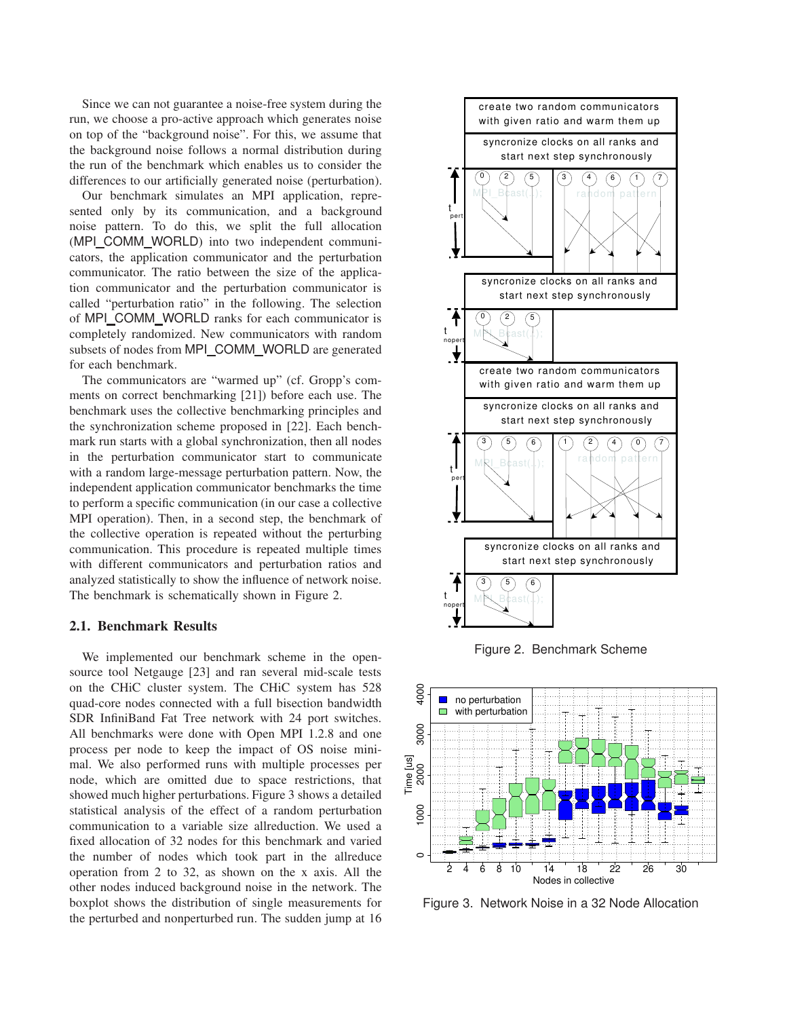Since we can not guarantee a noise-free system during the run, we choose a pro-active approach which generates noise on top of the "background noise". For this, we assume that the background noise follows a normal distribution during the run of the benchmark which enables us to consider the differences to our artificially generated noise (perturbation).

Our benchmark simulates an MPI application, represented only by its communication, and a background noise pattern. To do this, we split the full allocation (MPI\_COMM\_WORLD) into two independent communicators, the application communicator and the perturbation communicator. The ratio between the size of the application communicator and the perturbation communicator is called "perturbation ratio" in the following. The selection of MPI\_COMM\_WORLD ranks for each communicator is completely randomized. New communicators with random subsets of nodes from MPI COMM WORLD are generated for each benchmark.

The communicators are "warmed up" (cf. Gropp's comments on correct benchmarking [21]) before each use. The benchmark uses the collective benchmarking principles and the synchronization scheme proposed in [22]. Each benchmark run starts with a global synchronization, then all nodes in the perturbation communicator start to communicate with a random large-message perturbation pattern. Now, the independent application communicator benchmarks the time to perform a specific communication (in our case a collective MPI operation). Then, in a second step, the benchmark of the collective operation is repeated without the perturbing communication. This procedure is repeated multiple times with different communicators and perturbation ratios and analyzed statistically to show the influence of network noise. The benchmark is schematically shown in Figure 2.

#### **2.1. Benchmark Results**

We implemented our benchmark scheme in the opensource tool Netgauge [23] and ran several mid-scale tests on the CHiC cluster system. The CHiC system has 528 quad-core nodes connected with a full bisection bandwidth SDR InfiniBand Fat Tree network with 24 port switches. All benchmarks were done with Open MPI 1.2.8 and one process per node to keep the impact of OS noise minimal. We also performed runs with multiple processes per node, which are omitted due to space restrictions, that showed much higher perturbations. Figure 3 shows a detailed statistical analysis of the effect of a random perturbation communication to a variable size allreduction. We used a fixed allocation of 32 nodes for this benchmark and varied the number of nodes which took part in the allreduce operation from 2 to 32, as shown on the x axis. All the other nodes induced background noise in the network. The boxplot shows the distribution of single measurements for the perturbed and nonperturbed run. The sudden jump at 16



Figure 2. Benchmark Scheme



Figure 3. Network Noise in a 32 Node Allocation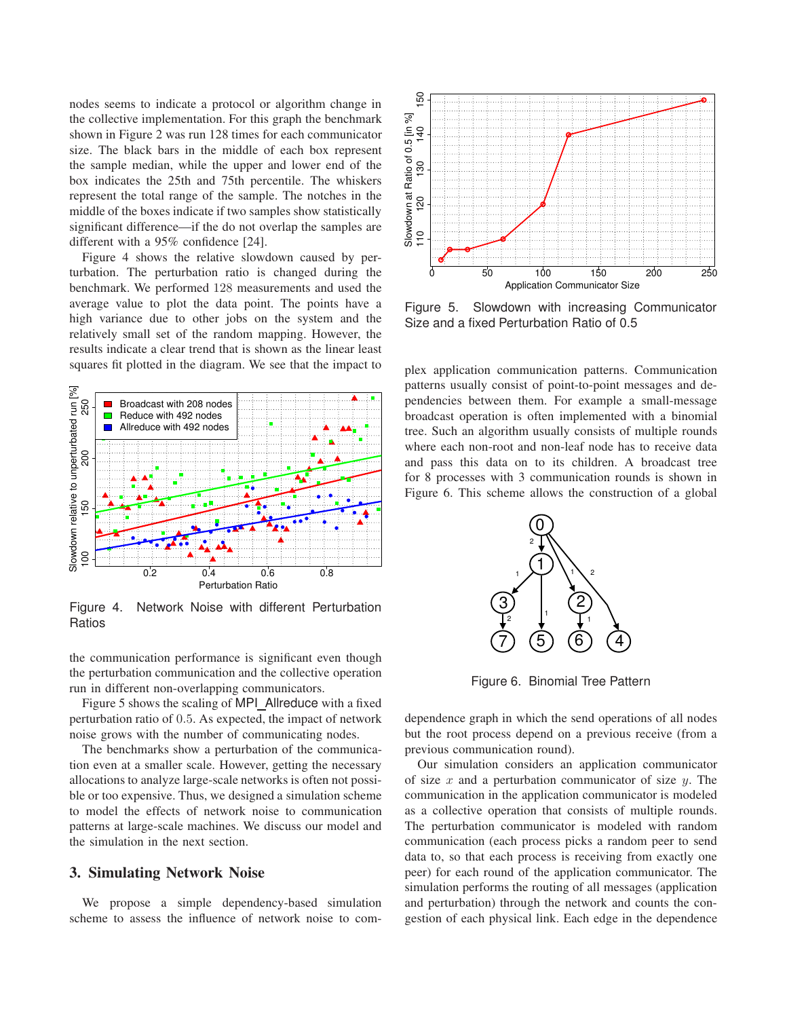nodes seems to indicate a protocol or algorithm change in the collective implementation. For this graph the benchmark shown in Figure 2 was run 128 times for each communicator size. The black bars in the middle of each box represent the sample median, while the upper and lower end of the box indicates the 25th and 75th percentile. The whiskers represent the total range of the sample. The notches in the middle of the boxes indicate if two samples show statistically significant difference—if the do not overlap the samples are different with a 95% confidence [24].

Figure 4 shows the relative slowdown caused by perturbation. The perturbation ratio is changed during the benchmark. We performed 128 measurements and used the average value to plot the data point. The points have a high variance due to other jobs on the system and the relatively small set of the random mapping. However, the results indicate a clear trend that is shown as the linear least squares fit plotted in the diagram. We see that the impact to



Figure 4. Network Noise with different Perturbation Ratios

the communication performance is significant even though the perturbation communication and the collective operation run in different non-overlapping communicators.

Figure 5 shows the scaling of MPI Allreduce with a fixed perturbation ratio of 0.5. As expected, the impact of network noise grows with the number of communicating nodes.

The benchmarks show a perturbation of the communication even at a smaller scale. However, getting the necessary allocations to analyze large-scale networks is often not possible or too expensive. Thus, we designed a simulation scheme to model the effects of network noise to communication patterns at large-scale machines. We discuss our model and the simulation in the next section.

# **3. Simulating Network Noise**

We propose a simple dependency-based simulation scheme to assess the influence of network noise to com-



Figure 5. Slowdown with increasing Communicator Size and a fixed Perturbation Ratio of 0.5

plex application communication patterns. Communication patterns usually consist of point-to-point messages and dependencies between them. For example a small-message broadcast operation is often implemented with a binomial tree. Such an algorithm usually consists of multiple rounds where each non-root and non-leaf node has to receive data and pass this data on to its children. A broadcast tree for 8 processes with 3 communication rounds is shown in Figure 6. This scheme allows the construction of a global



Figure 6. Binomial Tree Pattern

dependence graph in which the send operations of all nodes but the root process depend on a previous receive (from a previous communication round).

Our simulation considers an application communicator of size x and a perturbation communicator of size  $y$ . The communication in the application communicator is modeled as a collective operation that consists of multiple rounds. The perturbation communicator is modeled with random communication (each process picks a random peer to send data to, so that each process is receiving from exactly one peer) for each round of the application communicator. The simulation performs the routing of all messages (application and perturbation) through the network and counts the congestion of each physical link. Each edge in the dependence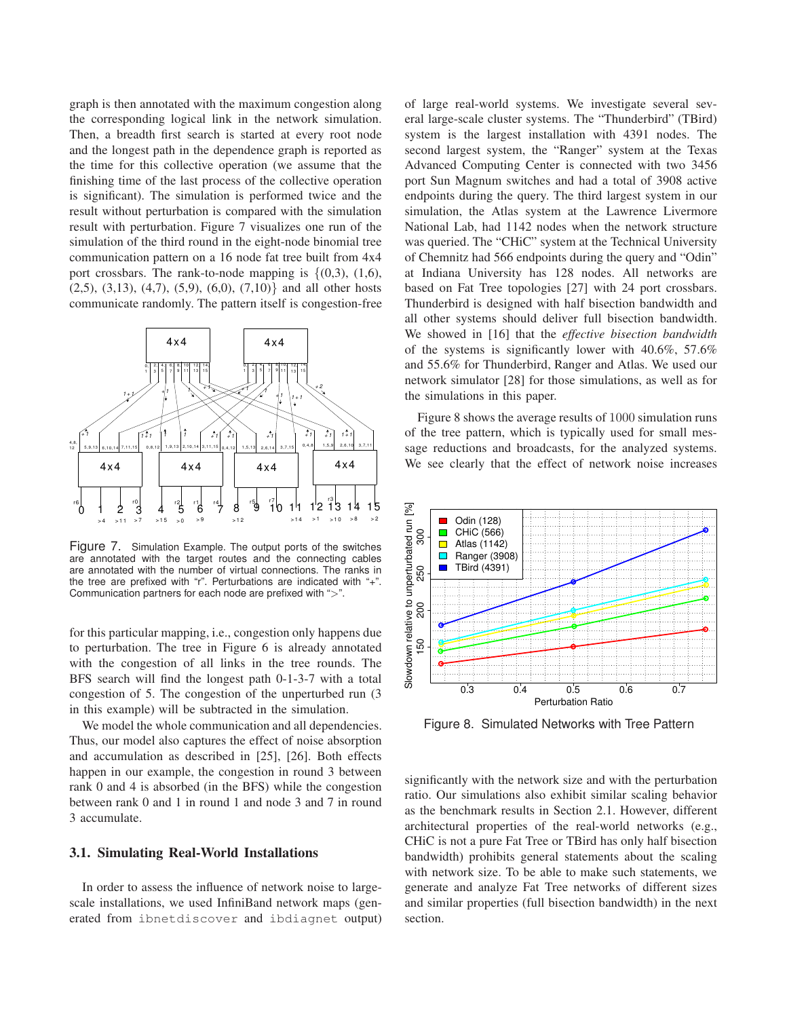graph is then annotated with the maximum congestion along the corresponding logical link in the network simulation. Then, a breadth first search is started at every root node and the longest path in the dependence graph is reported as the time for this collective operation (we assume that the finishing time of the last process of the collective operation is significant). The simulation is performed twice and the result without perturbation is compared with the simulation result with perturbation. Figure 7 visualizes one run of the simulation of the third round in the eight-node binomial tree communication pattern on a 16 node fat tree built from 4x4 port crossbars. The rank-to-node mapping is  $\{(0,3), (1,6),\}$  $(2,5)$ ,  $(3,13)$ ,  $(4,7)$ ,  $(5,9)$ ,  $(6,0)$ ,  $(7,10)$ } and all other hosts communicate randomly. The pattern itself is congestion-free



Figure 7. Simulation Example. The output ports of the switches are annotated with the target routes and the connecting cables are annotated with the number of virtual connections. The ranks in the tree are prefixed with "r". Perturbations are indicated with "+". Communication partners for each node are prefixed with ">".

for this particular mapping, i.e., congestion only happens due to perturbation. The tree in Figure 6 is already annotated with the congestion of all links in the tree rounds. The BFS search will find the longest path 0-1-3-7 with a total congestion of 5. The congestion of the unperturbed run (3 in this example) will be subtracted in the simulation.

We model the whole communication and all dependencies. Thus, our model also captures the effect of noise absorption and accumulation as described in [25], [26]. Both effects happen in our example, the congestion in round 3 between rank 0 and 4 is absorbed (in the BFS) while the congestion between rank 0 and 1 in round 1 and node 3 and 7 in round 3 accumulate.

#### **3.1. Simulating Real-World Installations**

In order to assess the influence of network noise to largescale installations, we used InfiniBand network maps (generated from ibnetdiscover and ibdiagnet output) of large real-world systems. We investigate several several large-scale cluster systems. The "Thunderbird" (TBird) system is the largest installation with 4391 nodes. The second largest system, the "Ranger" system at the Texas Advanced Computing Center is connected with two 3456 port Sun Magnum switches and had a total of 3908 active endpoints during the query. The third largest system in our simulation, the Atlas system at the Lawrence Livermore National Lab, had 1142 nodes when the network structure was queried. The "CHiC" system at the Technical University of Chemnitz had 566 endpoints during the query and "Odin" at Indiana University has 128 nodes. All networks are based on Fat Tree topologies [27] with 24 port crossbars. Thunderbird is designed with half bisection bandwidth and all other systems should deliver full bisection bandwidth. We showed in [16] that the *effective bisection bandwidth* of the systems is significantly lower with 40.6%, 57.6% and 55.6% for Thunderbird, Ranger and Atlas. We used our network simulator [28] for those simulations, as well as for the simulations in this paper.

Figure 8 shows the average results of 1000 simulation runs of the tree pattern, which is typically used for small message reductions and broadcasts, for the analyzed systems. We see clearly that the effect of network noise increases



Figure 8. Simulated Networks with Tree Pattern

significantly with the network size and with the perturbation ratio. Our simulations also exhibit similar scaling behavior as the benchmark results in Section 2.1. However, different architectural properties of the real-world networks (e.g., CHiC is not a pure Fat Tree or TBird has only half bisection bandwidth) prohibits general statements about the scaling with network size. To be able to make such statements, we generate and analyze Fat Tree networks of different sizes and similar properties (full bisection bandwidth) in the next section.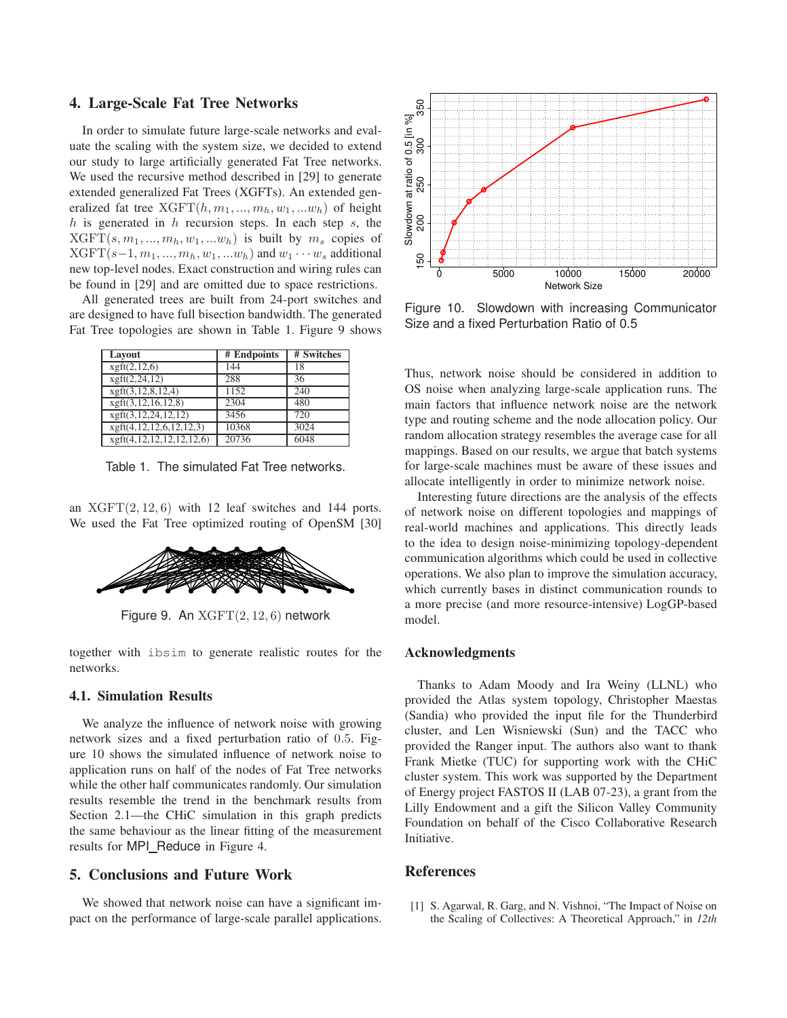## **4. Large-Scale Fat Tree Networks**

In order to simulate future large-scale networks and evaluate the scaling with the system size, we decided to extend our study to large artificially generated Fat Tree networks. We used the recursive method described in [29] to generate extended generalized Fat Trees (XGFTs). An extended generalized fat tree  $XGFT(h, m_1, ..., m_h, w_1, ...w_h)$  of height h is generated in h recursion steps. In each step  $s$ , the  $XGFT(s, m_1, ..., m_h, w_1, ...w_h)$  is built by  $m_s$  copies of  $XGFT(s-1, m_1, ..., m_h, w_1, ...w_h)$  and  $w_1 \cdots w_s$  additional new top-level nodes. Exact construction and wiring rules can be found in [29] and are omitted due to space restrictions.

All generated trees are built from 24-port switches and are designed to have full bisection bandwidth. The generated Fat Tree topologies are shown in Table 1. Figure 9 shows

| Layout                   | # Endpoints | # Switches |
|--------------------------|-------------|------------|
| xgft(2,12,6)             | 144         | 18         |
| xgft(2,24,12)            | 288         | 36         |
| xgft(3,12,8,12,4)        | 1152        | 240        |
| xgft(3,12,16,12,8)       | 2304        | 480        |
| xgft(3,12,24,12,12)      | 3456        | 720        |
| xgft(4,12,12,6,12,12,3)  | 10368       | 3024       |
| xgft(4,12,12,12,12,12,6) | 20736       | 6048       |

Table 1. The simulated Fat Tree networks.

an  $XGFT(2, 12, 6)$  with 12 leaf switches and 144 ports. We used the Fat Tree optimized routing of OpenSM [30]



Figure 9. An XGFT(2, 12, 6) network

together with ibsim to generate realistic routes for the networks.

#### **4.1. Simulation Results**

We analyze the influence of network noise with growing network sizes and a fixed perturbation ratio of 0.5. Figure 10 shows the simulated influence of network noise to application runs on half of the nodes of Fat Tree networks while the other half communicates randomly. Our simulation results resemble the trend in the benchmark results from Section 2.1—the CHiC simulation in this graph predicts the same behaviour as the linear fitting of the measurement results for MPI Reduce in Figure 4.

### **5. Conclusions and Future Work**

We showed that network noise can have a significant impact on the performance of large-scale parallel applications.



Figure 10. Slowdown with increasing Communicator Size and a fixed Perturbation Ratio of 0.5

Thus, network noise should be considered in addition to OS noise when analyzing large-scale application runs. The main factors that influence network noise are the network type and routing scheme and the node allocation policy. Our random allocation strategy resembles the average case for all mappings. Based on our results, we argue that batch systems for large-scale machines must be aware of these issues and allocate intelligently in order to minimize network noise.

Interesting future directions are the analysis of the effects of network noise on different topologies and mappings of real-world machines and applications. This directly leads to the idea to design noise-minimizing topology-dependent communication algorithms which could be used in collective operations. We also plan to improve the simulation accuracy, which currently bases in distinct communication rounds to a more precise (and more resource-intensive) LogGP-based model.

#### **Acknowledgments**

Thanks to Adam Moody and Ira Weiny (LLNL) who provided the Atlas system topology, Christopher Maestas (Sandia) who provided the input file for the Thunderbird cluster, and Len Wisniewski (Sun) and the TACC who provided the Ranger input. The authors also want to thank Frank Mietke (TUC) for supporting work with the CHiC cluster system. This work was supported by the Department of Energy project FASTOS II (LAB 07-23), a grant from the Lilly Endowment and a gift the Silicon Valley Community Foundation on behalf of the Cisco Collaborative Research Initiative.

# **References**

[1] S. Agarwal, R. Garg, and N. Vishnoi, "The Impact of Noise on the Scaling of Collectives: A Theoretical Approach," in *12th*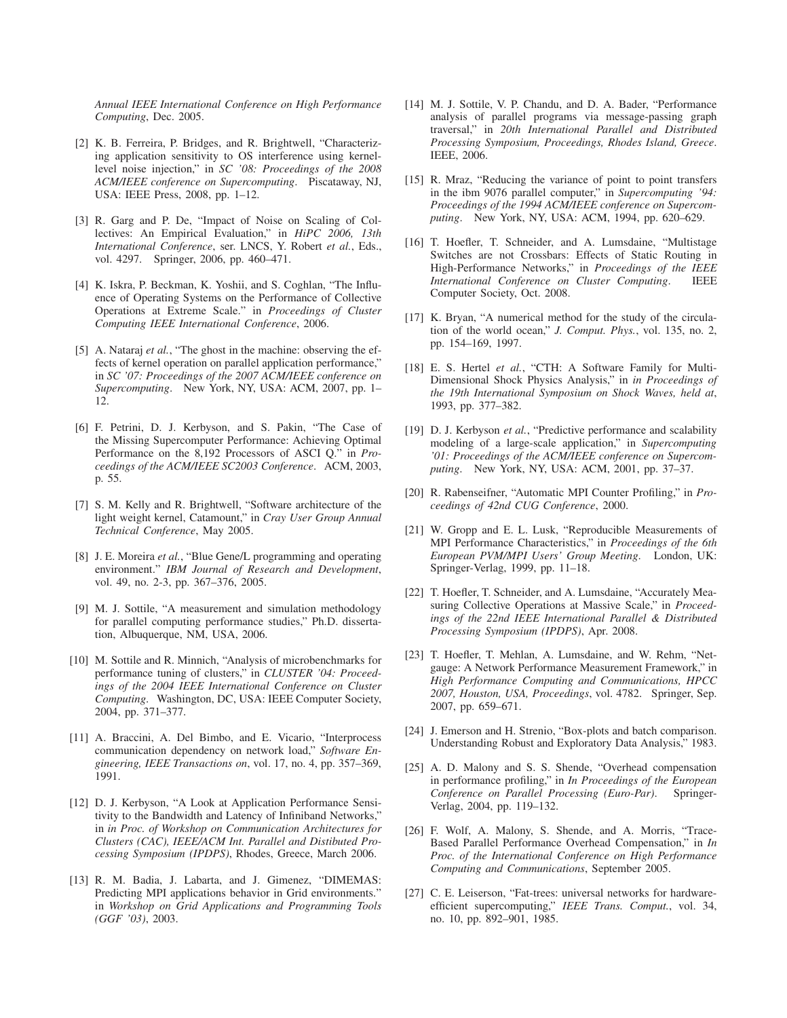*Annual IEEE International Conference on High Performance Computing*, Dec. 2005.

- [2] K. B. Ferreira, P. Bridges, and R. Brightwell, "Characterizing application sensitivity to OS interference using kernellevel noise injection," in *SC '08: Proceedings of the 2008 ACM/IEEE conference on Supercomputing*. Piscataway, NJ, USA: IEEE Press, 2008, pp. 1–12.
- [3] R. Garg and P. De, "Impact of Noise on Scaling of Collectives: An Empirical Evaluation," in *HiPC 2006, 13th International Conference*, ser. LNCS, Y. Robert *et al.*, Eds., vol. 4297. Springer, 2006, pp. 460–471.
- [4] K. Iskra, P. Beckman, K. Yoshii, and S. Coghlan, "The Influence of Operating Systems on the Performance of Collective Operations at Extreme Scale." in *Proceedings of Cluster Computing IEEE International Conference*, 2006.
- [5] A. Nataraj *et al.*, "The ghost in the machine: observing the effects of kernel operation on parallel application performance," in *SC '07: Proceedings of the 2007 ACM/IEEE conference on Supercomputing*. New York, NY, USA: ACM, 2007, pp. 1– 12.
- [6] F. Petrini, D. J. Kerbyson, and S. Pakin, "The Case of the Missing Supercomputer Performance: Achieving Optimal Performance on the 8,192 Processors of ASCI Q." in *Proceedings of the ACM/IEEE SC2003 Conference*. ACM, 2003, p. 55.
- [7] S. M. Kelly and R. Brightwell, "Software architecture of the light weight kernel, Catamount," in *Cray User Group Annual Technical Conference*, May 2005.
- [8] J. E. Moreira *et al.*, "Blue Gene/L programming and operating environment." *IBM Journal of Research and Development*, vol. 49, no. 2-3, pp. 367–376, 2005.
- [9] M. J. Sottile, "A measurement and simulation methodology for parallel computing performance studies," Ph.D. dissertation, Albuquerque, NM, USA, 2006.
- [10] M. Sottile and R. Minnich, "Analysis of microbenchmarks for performance tuning of clusters," in *CLUSTER '04: Proceedings of the 2004 IEEE International Conference on Cluster Computing*. Washington, DC, USA: IEEE Computer Society, 2004, pp. 371–377.
- [11] A. Braccini, A. Del Bimbo, and E. Vicario, "Interprocess communication dependency on network load," *Software Engineering, IEEE Transactions on*, vol. 17, no. 4, pp. 357–369, 1991.
- [12] D. J. Kerbyson, "A Look at Application Performance Sensitivity to the Bandwidth and Latency of Infiniband Networks," in *in Proc. of Workshop on Communication Architectures for Clusters (CAC), IEEE/ACM Int. Parallel and Distibuted Processing Symposium (IPDPS)*, Rhodes, Greece, March 2006.
- [13] R. M. Badia, J. Labarta, and J. Gimenez, "DIMEMAS: Predicting MPI applications behavior in Grid environments." in *Workshop on Grid Applications and Programming Tools (GGF '03)*, 2003.
- [14] M. J. Sottile, V. P. Chandu, and D. A. Bader, "Performance analysis of parallel programs via message-passing graph traversal," in *20th International Parallel and Distributed Processing Symposium, Proceedings, Rhodes Island, Greece*. IEEE, 2006.
- [15] R. Mraz, "Reducing the variance of point to point transfers in the ibm 9076 parallel computer," in *Supercomputing '94: Proceedings of the 1994 ACM/IEEE conference on Supercomputing*. New York, NY, USA: ACM, 1994, pp. 620–629.
- [16] T. Hoefler, T. Schneider, and A. Lumsdaine, "Multistage Switches are not Crossbars: Effects of Static Routing in High-Performance Networks," in *Proceedings of the IEEE International Conference on Cluster Computing*. IEEE Computer Society, Oct. 2008.
- [17] K. Bryan, "A numerical method for the study of the circulation of the world ocean," *J. Comput. Phys.*, vol. 135, no. 2, pp. 154–169, 1997.
- [18] E. S. Hertel *et al.*, "CTH: A Software Family for Multi-Dimensional Shock Physics Analysis," in *in Proceedings of the 19th International Symposium on Shock Waves, held at*, 1993, pp. 377–382.
- [19] D. J. Kerbyson et al., "Predictive performance and scalability modeling of a large-scale application," in *Supercomputing '01: Proceedings of the ACM/IEEE conference on Supercomputing*. New York, NY, USA: ACM, 2001, pp. 37–37.
- [20] R. Rabenseifner, "Automatic MPI Counter Profiling," in *Proceedings of 42nd CUG Conference*, 2000.
- [21] W. Gropp and E. L. Lusk, "Reproducible Measurements of MPI Performance Characteristics," in *Proceedings of the 6th European PVM/MPI Users' Group Meeting*. London, UK: Springer-Verlag, 1999, pp. 11–18.
- [22] T. Hoefler, T. Schneider, and A. Lumsdaine, "Accurately Measuring Collective Operations at Massive Scale," in *Proceedings of the 22nd IEEE International Parallel & Distributed Processing Symposium (IPDPS)*, Apr. 2008.
- [23] T. Hoefler, T. Mehlan, A. Lumsdaine, and W. Rehm, "Netgauge: A Network Performance Measurement Framework," in *High Performance Computing and Communications, HPCC 2007, Houston, USA, Proceedings*, vol. 4782. Springer, Sep. 2007, pp. 659–671.
- [24] J. Emerson and H. Strenio, "Box-plots and batch comparison. Understanding Robust and Exploratory Data Analysis," 1983.
- [25] A. D. Malony and S. S. Shende, "Overhead compensation in performance profiling," in *In Proceedings of the European Conference on Parallel Processing (Euro-Par)*. Springer-Verlag, 2004, pp. 119–132.
- [26] F. Wolf, A. Malony, S. Shende, and A. Morris, "Trace-Based Parallel Performance Overhead Compensation," in *In Proc. of the International Conference on High Performance Computing and Communications*, September 2005.
- [27] C. E. Leiserson, "Fat-trees: universal networks for hardwareefficient supercomputing," *IEEE Trans. Comput.*, vol. 34, no. 10, pp. 892–901, 1985.